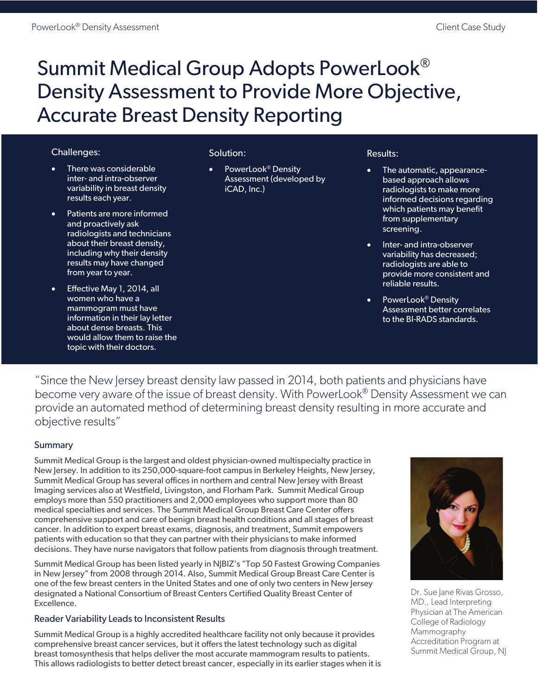# Summit Medical Group Adopts PowerLook® Density Assessment to Provide More Objective, Accurate Breast Density Reporting

# Challenges:

- There was considerable inter- and intra-observer variability in breast density results each year.
- Patients are more informed and proactively ask radiologists and technicians about their breast density, including why their density results may have changed from year to year.
- Effective May 1, 2014, all women who have a mammogram must have information in their lay letter about dense breasts. This would allow them to raise the topic with their doctors.

# Solution:

PowerLook<sup>®</sup> Density Assessment (developed by iCAD, Inc.)

#### Results:

- The automatic, appearancebased approach allows radiologists to make more informed decisions regarding which patients may benefit from supplementary screening.
- Inter- and intra-observer variability has decreased; radiologists are able to provide more consistent and reliable results.
- PowerLook<sup>®</sup> Density Assessment better correlates to the BI-RADS standards.

"Since the New Jersey breast density law passed in 2014, both patients and physicians have become very aware of the issue of breast density. With PowerLook® Density Assessment we can provide an automated method of determining breast density resulting in more accurate and objective results"

### **Summary**

Summit Medical Group is the largest and oldest physician-owned multispecialty practice in New Jersey. In addition to its 250,000-square-foot campus in Berkeley Heights, New Jersey, Summit Medical Group has several offices in northern and central New Jersey with Breast Imaging services also at Westfield, Livingston, and Florham Park. Summit Medical Group employs more than 550 practitioners and 2,000 employees who support more than 80 medical specialties and services. The Summit Medical Group Breast Care Center offers comprehensive support and care of benign breast health conditions and all stages of breast cancer. In addition to expert breast exams, diagnosis, and treatment, Summit empowers patients with education so that they can partner with their physicians to make informed decisions. They have nurse navigators that follow patients from diagnosis through treatment.

Summit Medical Group has been listed yearly in NJBIZ's "Top 50 Fastest Growing Companies in New Jersey" from 2008 through 2014. Also, Summit Medical Group Breast Care Center is one of the few breast centers in the United States and one of only two centers in New Jersey designated a National Consortium of Breast Centers Certified Quality Breast Center of Excellence.

### Reader Variability Leads to Inconsistent Results

Summit Medical Group is a highly accredited healthcare facility not only because it provides comprehensive breast cancer services, but it offers the latest technology such as digital breast tomosynthesis that helps deliver the most accurate mammogram results to patients. This allows radiologists to better detect breast cancer, especially in its earlier stages when it is



Dr. Sue Jane Rivas Grosso, MD., Lead Interpreting Physician at The American College of Radiology Mammography Accreditation Program at Summit Medical Group, NJ